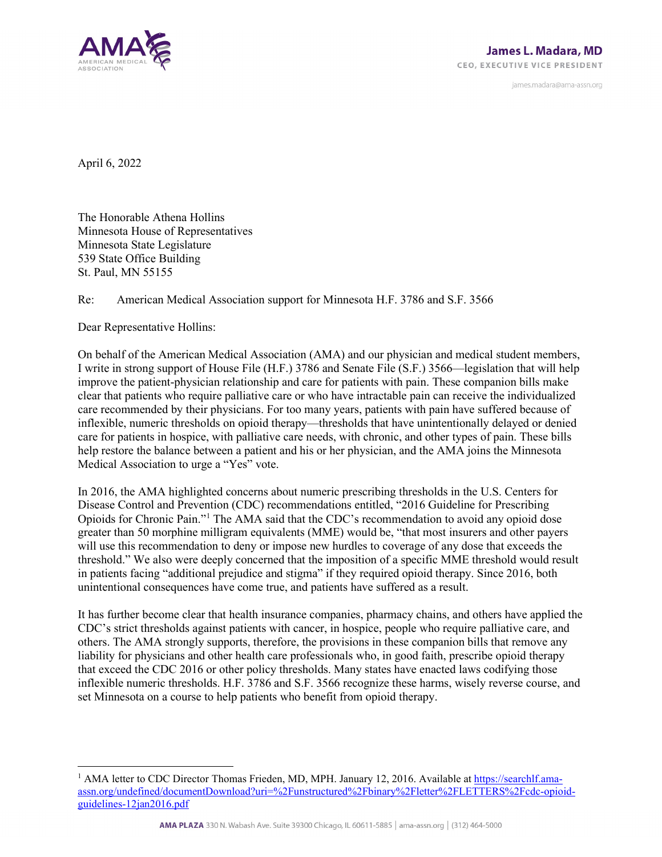

james.madara@ama-assn.org

April 6, 2022

The Honorable Athena Hollins Minnesota House of Representatives Minnesota State Legislature 539 State Office Building St. Paul, MN 55155

## Re: American Medical Association support for Minnesota H.F. 3786 and S.F. 3566

Dear Representative Hollins:

On behalf of the American Medical Association (AMA) and our physician and medical student members, I write in strong support of House File (H.F.) 3786 and Senate File (S.F.) 3566—legislation that will help improve the patient-physician relationship and care for patients with pain. These companion bills make clear that patients who require palliative care or who have intractable pain can receive the individualized care recommended by their physicians. For too many years, patients with pain have suffered because of inflexible, numeric thresholds on opioid therapy—thresholds that have unintentionally delayed or denied care for patients in hospice, with palliative care needs, with chronic, and other types of pain. These bills help restore the balance between a patient and his or her physician, and the AMA joins the Minnesota Medical Association to urge a "Yes" vote.

In 2016, the AMA highlighted concerns about numeric prescribing thresholds in the U.S. Centers for Disease Control and Prevention (CDC) recommendations entitled, "2016 Guideline for Prescribing Opioids for Chronic Pain."[1](#page-0-0) The AMA said that the CDC's recommendation to avoid any opioid dose greater than 50 morphine milligram equivalents (MME) would be, "that most insurers and other payers will use this recommendation to deny or impose new hurdles to coverage of any dose that exceeds the threshold." We also were deeply concerned that the imposition of a specific MME threshold would result in patients facing "additional prejudice and stigma" if they required opioid therapy. Since 2016, both unintentional consequences have come true, and patients have suffered as a result.

It has further become clear that health insurance companies, pharmacy chains, and others have applied the CDC's strict thresholds against patients with cancer, in hospice, people who require palliative care, and others. The AMA strongly supports, therefore, the provisions in these companion bills that remove any liability for physicians and other health care professionals who, in good faith, prescribe opioid therapy that exceed the CDC 2016 or other policy thresholds. Many states have enacted laws codifying those inflexible numeric thresholds. H.F. 3786 and S.F. 3566 recognize these harms, wisely reverse course, and set Minnesota on a course to help patients who benefit from opioid therapy.

<span id="page-0-0"></span><sup>&</sup>lt;sup>1</sup> AMA letter to CDC Director Thomas Frieden, MD, MPH. January 12, 2016. Available a[t https://searchlf.ama](https://searchlf.ama-assn.org/undefined/documentDownload?uri=%2Funstructured%2Fbinary%2Fletter%2FLETTERS%2Fcdc-opioid-guidelines-12jan2016.pdf)[assn.org/undefined/documentDownload?uri=%2Funstructured%2Fbinary%2Fletter%2FLETTERS%2Fcdc-opioid](https://searchlf.ama-assn.org/undefined/documentDownload?uri=%2Funstructured%2Fbinary%2Fletter%2FLETTERS%2Fcdc-opioid-guidelines-12jan2016.pdf)[guidelines-12jan2016.pdf](https://searchlf.ama-assn.org/undefined/documentDownload?uri=%2Funstructured%2Fbinary%2Fletter%2FLETTERS%2Fcdc-opioid-guidelines-12jan2016.pdf)